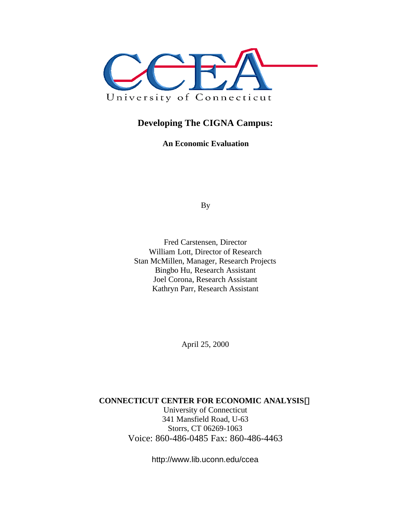

### **Developing The CIGNA Campus:**

**An Economic Evaluation**

By

Fred Carstensen, Director William Lott, Director of Research Stan McMillen, Manager, Research Projects Bingbo Hu, Research Assistant Joel Corona, Research Assistant Kathryn Parr, Research Assistant

April 25, 2000

#### **CONNECTICUT CENTER FOR ECONOMIC ANALYSISã**

University of Connecticut 341 Mansfield Road, U-63 Storrs, CT 06269-1063 Voice: 860-486-0485 Fax: 860-486-4463

http://www.lib.uconn.edu/ccea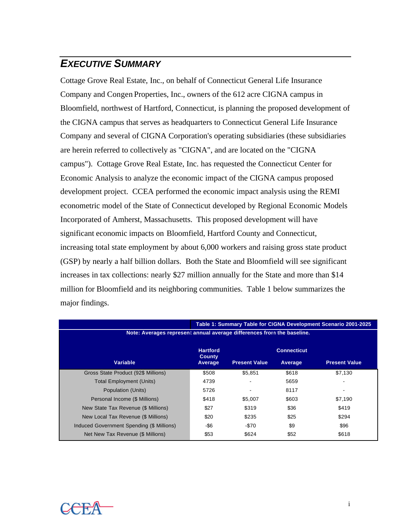## *EXECUTIVE SUMMARY*

Cottage Grove Real Estate, Inc., on behalf of Connecticut General Life Insurance Company and Congen Properties, Inc., owners of the 612 acre CIGNA campus in Bloomfield, northwest of Hartford, Connecticut, is planning the proposed development of the CIGNA campus that serves as headquarters to Connecticut General Life Insurance Company and several of CIGNA Corporation's operating subsidiaries (these subsidiaries are herein referred to collectively as "CIGNA", and are located on the "CIGNA campus"). Cottage Grove Real Estate, Inc. has requested the Connecticut Center for Economic Analysis to analyze the economic impact of the CIGNA campus proposed development project. CCEA performed the economic impact analysis using the REMI econometric model of the State of Connecticut developed by Regional Economic Models Incorporated of Amherst, Massachusetts. This proposed development will have significant economic impacts on Bloomfield, Hartford County and Connecticut, increasing total state employment by about 6,000 workers and raising gross state product (GSP) by nearly a half billion dollars. Both the State and Bloomfield will see significant increases in tax collections: nearly \$27 million annually for the State and more than \$14 million for Bloomfield and its neighboring communities. Table 1 below summarizes the major findings.

|                                                                        |                                  |                      |                    | Table 1: Summary Table for CIGNA Development Scenario 2001-2025 |
|------------------------------------------------------------------------|----------------------------------|----------------------|--------------------|-----------------------------------------------------------------|
| Note: Averages represent annual average differences from the baseline. |                                  |                      |                    |                                                                 |
|                                                                        | <b>Hartford</b><br><b>County</b> |                      | <b>Connecticut</b> |                                                                 |
| <b>Variable</b>                                                        | Average                          | <b>Present Value</b> | Average            | <b>Present Value</b>                                            |
| Gross State Product (92\$ Millions)                                    | \$508                            | \$5.851              | \$618              | \$7,130                                                         |
| <b>Total Employment (Units)</b>                                        | 4739                             |                      | 5659               |                                                                 |
| Population (Units)                                                     | 5726                             |                      | 8117               |                                                                 |
| Personal Income (\$ Millions)                                          | \$418                            | \$5.007              | \$603              | \$7,190                                                         |
| New State Tax Revenue (\$ Millions)                                    | \$27                             | \$319                | \$36               | \$419                                                           |
| New Local Tax Revenue (\$ Millions)                                    | \$20                             | \$235                | \$25               | \$294                                                           |
| Induced Government Spending (\$ Millions)                              | -\$6                             | $-\$70$              | \$9                | \$96                                                            |
| Net New Tax Revenue (\$ Millions)                                      | \$53                             | \$624                | \$52               | \$618                                                           |

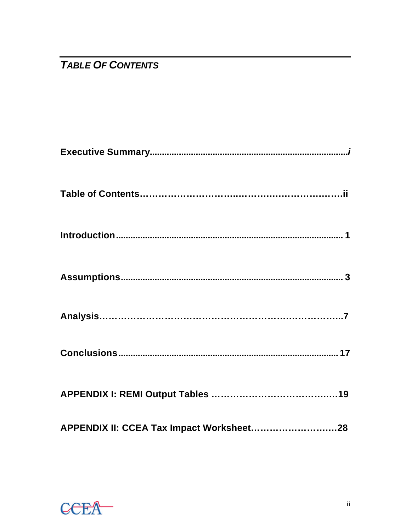# **TABLE OF CONTENTS**

| APPENDIX II: CCEA Tax Impact Worksheet28 |
|------------------------------------------|

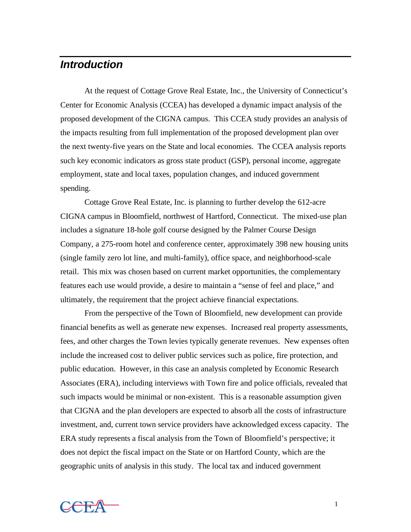### *Introduction*

At the request of Cottage Grove Real Estate, Inc., the University of Connecticut's Center for Economic Analysis (CCEA) has developed a dynamic impact analysis of the proposed development of the CIGNA campus. This CCEA study provides an analysis of the impacts resulting from full implementation of the proposed development plan over the next twenty-five years on the State and local economies. The CCEA analysis reports such key economic indicators as gross state product (GSP), personal income, aggregate employment, state and local taxes, population changes, and induced government spending.

Cottage Grove Real Estate, Inc. is planning to further develop the 612-acre CIGNA campus in Bloomfield, northwest of Hartford, Connecticut. The mixed-use plan includes a signature 18-hole golf course designed by the Palmer Course Design Company, a 275-room hotel and conference center, approximately 398 new housing units (single family zero lot line, and multi-family), office space, and neighborhood-scale retail. This mix was chosen based on current market opportunities, the complementary features each use would provide, a desire to maintain a "sense of feel and place," and ultimately, the requirement that the project achieve financial expectations.

From the perspective of the Town of Bloomfield, new development can provide financial benefits as well as generate new expenses. Increased real property assessments, fees, and other charges the Town levies typically generate revenues. New expenses often include the increased cost to deliver public services such as police, fire protection, and public education. However, in this case an analysis completed by Economic Research Associates (ERA), including interviews with Town fire and police officials, revealed that such impacts would be minimal or non-existent. This is a reasonable assumption given that CIGNA and the plan developers are expected to absorb all the costs of infrastructure investment, and, current town service providers have acknowledged excess capacity. The ERA study represents a fiscal analysis from the Town of Bloomfield's perspective; it does not depict the fiscal impact on the State or on Hartford County, which are the geographic units of analysis in this study. The local tax and induced government

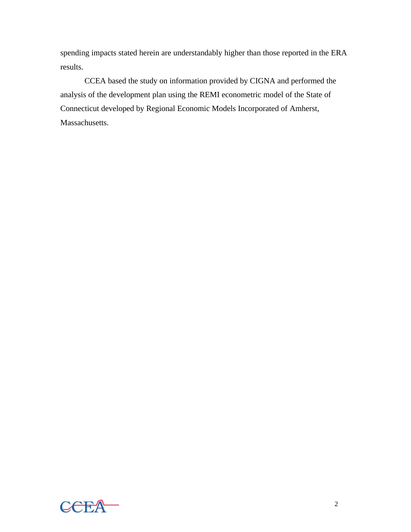spending impacts stated herein are understandably higher than those reported in the ERA results.

CCEA based the study on information provided by CIGNA and performed the analysis of the development plan using the REMI econometric model of the State of Connecticut developed by Regional Economic Models Incorporated of Amherst, Massachusetts.

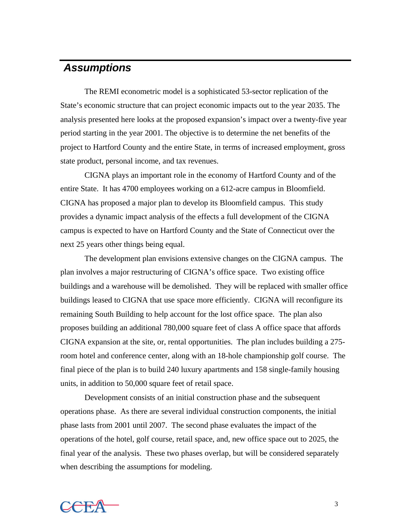## *Assumptions*

The REMI econometric model is a sophisticated 53-sector replication of the State's economic structure that can project economic impacts out to the year 2035. The analysis presented here looks at the proposed expansion's impact over a twenty-five year period starting in the year 2001. The objective is to determine the net benefits of the project to Hartford County and the entire State, in terms of increased employment, gross state product, personal income, and tax revenues.

CIGNA plays an important role in the economy of Hartford County and of the entire State. It has 4700 employees working on a 612-acre campus in Bloomfield. CIGNA has proposed a major plan to develop its Bloomfield campus. This study provides a dynamic impact analysis of the effects a full development of the CIGNA campus is expected to have on Hartford County and the State of Connecticut over the next 25 years other things being equal.

The development plan envisions extensive changes on the CIGNA campus. The plan involves a major restructuring of CIGNA's office space. Two existing office buildings and a warehouse will be demolished. They will be replaced with smaller office buildings leased to CIGNA that use space more efficiently. CIGNA will reconfigure its remaining South Building to help account for the lost office space. The plan also proposes building an additional 780,000 square feet of class A office space that affords CIGNA expansion at the site, or, rental opportunities. The plan includes building a 275 room hotel and conference center, along with an 18-hole championship golf course. The final piece of the plan is to build 240 luxury apartments and 158 single-family housing units, in addition to 50,000 square feet of retail space.

Development consists of an initial construction phase and the subsequent operations phase. As there are several individual construction components, the initial phase lasts from 2001 until 2007. The second phase evaluates the impact of the operations of the hotel, golf course, retail space, and, new office space out to 2025, the final year of the analysis. These two phases overlap, but will be considered separately when describing the assumptions for modeling.

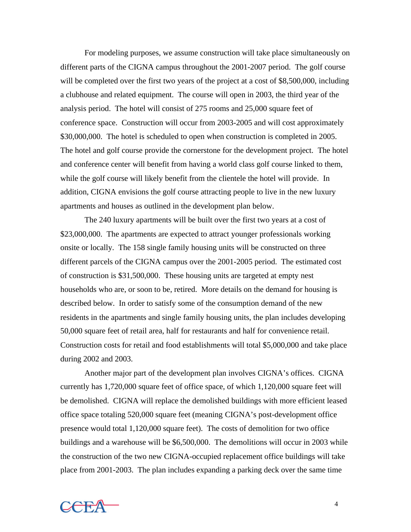For modeling purposes, we assume construction will take place simultaneously on different parts of the CIGNA campus throughout the 2001-2007 period. The golf course will be completed over the first two years of the project at a cost of \$8,500,000, including a clubhouse and related equipment. The course will open in 2003, the third year of the analysis period. The hotel will consist of 275 rooms and 25,000 square feet of conference space. Construction will occur from 2003-2005 and will cost approximately \$30,000,000. The hotel is scheduled to open when construction is completed in 2005. The hotel and golf course provide the cornerstone for the development project. The hotel and conference center will benefit from having a world class golf course linked to them, while the golf course will likely benefit from the clientele the hotel will provide. In addition, CIGNA envisions the golf course attracting people to live in the new luxury apartments and houses as outlined in the development plan below.

The 240 luxury apartments will be built over the first two years at a cost of \$23,000,000. The apartments are expected to attract younger professionals working onsite or locally. The 158 single family housing units will be constructed on three different parcels of the CIGNA campus over the 2001-2005 period. The estimated cost of construction is \$31,500,000. These housing units are targeted at empty nest households who are, or soon to be, retired. More details on the demand for housing is described below. In order to satisfy some of the consumption demand of the new residents in the apartments and single family housing units, the plan includes developing 50,000 square feet of retail area, half for restaurants and half for convenience retail. Construction costs for retail and food establishments will total \$5,000,000 and take place during 2002 and 2003.

Another major part of the development plan involves CIGNA's offices. CIGNA currently has 1,720,000 square feet of office space, of which 1,120,000 square feet will be demolished. CIGNA will replace the demolished buildings with more efficient leased office space totaling 520,000 square feet (meaning CIGNA's post-development office presence would total 1,120,000 square feet). The costs of demolition for two office buildings and a warehouse will be \$6,500,000. The demolitions will occur in 2003 while the construction of the two new CIGNA-occupied replacement office buildings will take place from 2001-2003. The plan includes expanding a parking deck over the same time

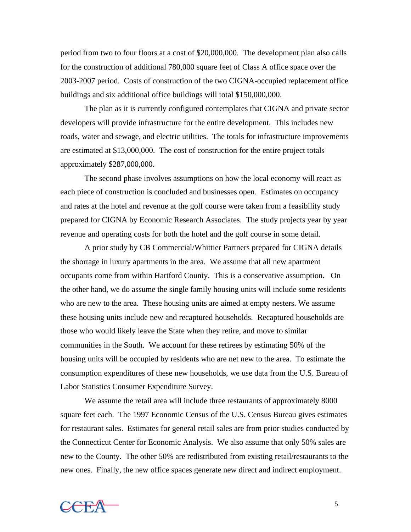period from two to four floors at a cost of \$20,000,000. The development plan also calls for the construction of additional 780,000 square feet of Class A office space over the 2003-2007 period. Costs of construction of the two CIGNA-occupied replacement office buildings and six additional office buildings will total \$150,000,000.

The plan as it is currently configured contemplates that CIGNA and private sector developers will provide infrastructure for the entire development. This includes new roads, water and sewage, and electric utilities. The totals for infrastructure improvements are estimated at \$13,000,000. The cost of construction for the entire project totals approximately \$287,000,000.

The second phase involves assumptions on how the local economy will react as each piece of construction is concluded and businesses open. Estimates on occupancy and rates at the hotel and revenue at the golf course were taken from a feasibility study prepared for CIGNA by Economic Research Associates. The study projects year by year revenue and operating costs for both the hotel and the golf course in some detail.

A prior study by CB Commercial/Whittier Partners prepared for CIGNA details the shortage in luxury apartments in the area. We assume that all new apartment occupants come from within Hartford County. This is a conservative assumption. On the other hand, we do assume the single family housing units will include some residents who are new to the area. These housing units are aimed at empty nesters. We assume these housing units include new and recaptured households. Recaptured households are those who would likely leave the State when they retire, and move to similar communities in the South. We account for these retirees by estimating 50% of the housing units will be occupied by residents who are net new to the area. To estimate the consumption expenditures of these new households, we use data from the U.S. Bureau of Labor Statistics Consumer Expenditure Survey.

We assume the retail area will include three restaurants of approximately 8000 square feet each. The 1997 Economic Census of the U.S. Census Bureau gives estimates for restaurant sales. Estimates for general retail sales are from prior studies conducted by the Connecticut Center for Economic Analysis. We also assume that only 50% sales are new to the County. The other 50% are redistributed from existing retail/restaurants to the new ones. Finally, the new office spaces generate new direct and indirect employment.

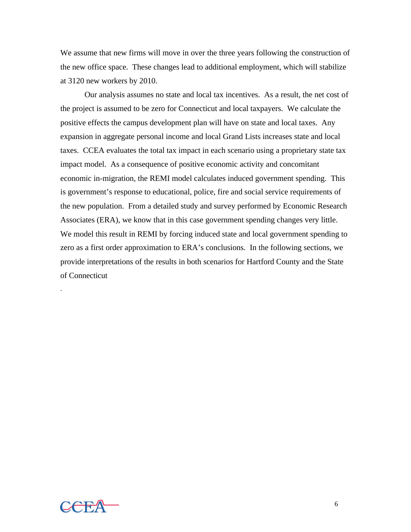We assume that new firms will move in over the three years following the construction of the new office space. These changes lead to additional employment, which will stabilize at 3120 new workers by 2010.

Our analysis assumes no state and local tax incentives. As a result, the net cost of the project is assumed to be zero for Connecticut and local taxpayers. We calculate the positive effects the campus development plan will have on state and local taxes. Any expansion in aggregate personal income and local Grand Lists increases state and local taxes. CCEA evaluates the total tax impact in each scenario using a proprietary state tax impact model. As a consequence of positive economic activity and concomitant economic in-migration, the REMI model calculates induced government spending. This is government's response to educational, police, fire and social service requirements of the new population. From a detailed study and survey performed by Economic Research Associates (ERA), we know that in this case government spending changes very little. We model this result in REMI by forcing induced state and local government spending to zero as a first order approximation to ERA's conclusions. In the following sections, we provide interpretations of the results in both scenarios for Hartford County and the State of Connecticut



.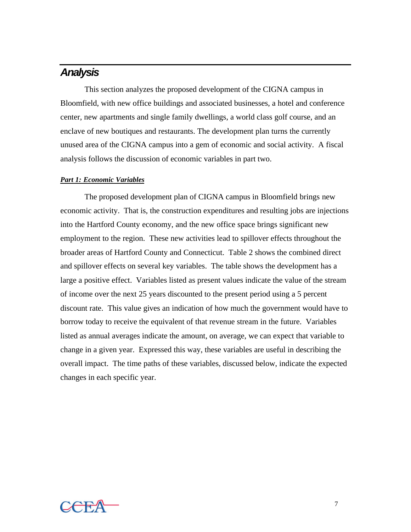### *Analysis*

This section analyzes the proposed development of the CIGNA campus in Bloomfield, with new office buildings and associated businesses, a hotel and conference center, new apartments and single family dwellings, a world class golf course, and an enclave of new boutiques and restaurants. The development plan turns the currently unused area of the CIGNA campus into a gem of economic and social activity. A fiscal analysis follows the discussion of economic variables in part two.

#### *Part 1: Economic Variables*

The proposed development plan of CIGNA campus in Bloomfield brings new economic activity. That is, the construction expenditures and resulting jobs are injections into the Hartford County economy, and the new office space brings significant new employment to the region. These new activities lead to spillover effects throughout the broader areas of Hartford County and Connecticut. Table 2 shows the combined direct and spillover effects on several key variables. The table shows the development has a large a positive effect. Variables listed as present values indicate the value of the stream of income over the next 25 years discounted to the present period using a 5 percent discount rate. This value gives an indication of how much the government would have to borrow today to receive the equivalent of that revenue stream in the future. Variables listed as annual averages indicate the amount, on average, we can expect that variable to change in a given year. Expressed this way, these variables are useful in describing the overall impact. The time paths of these variables, discussed below, indicate the expected changes in each specific year.

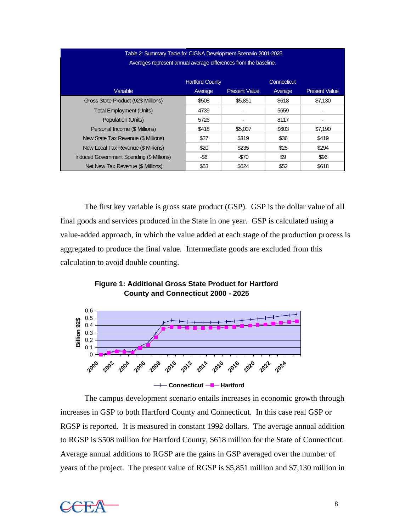### Table 2: Summary Table for CIGNA Development Scenario 2001-2025 Averages represent annual average differences from the baseline.

|                                           | <b>Hartford County</b> |                      | Connecticut |                      |
|-------------------------------------------|------------------------|----------------------|-------------|----------------------|
| Variable                                  | Average                | <b>Present Value</b> | Average     | <b>Present Value</b> |
| Gross State Product (92\$ Millions)       | \$508                  | \$5.851              | \$618       | \$7.130              |
| <b>Total Employment (Units)</b>           | 4739                   | $\blacksquare$       | 5659        |                      |
| Population (Units)                        | 5726                   |                      | 8117        |                      |
| Personal Income (\$ Millions)             | \$418                  | \$5,007              | \$603       | \$7.190              |
| New State Tax Revenue (\$ Millions)       | \$27                   | \$319                | \$36        | \$419                |
| New Local Tax Revenue (\$ Millions)       | \$20                   | \$235                | \$25        | \$294                |
| Induced Government Spending (\$ Millions) | -\$6                   | $-570$               | \$9         | \$96                 |
| Net New Tax Revenue (\$ Millions)         | \$53                   | \$624                | \$52        | \$618                |

The first key variable is gross state product (GSP). GSP is the dollar value of all final goods and services produced in the State in one year. GSP is calculated using a value-added approach, in which the value added at each stage of the production process is aggregated to produce the final value. Intermediate goods are excluded from this calculation to avoid double counting.

#### **Figure 1: Additional Gross State Product for Hartford County and Connecticut 2000 - 2025**



The campus development scenario entails increases in economic growth through increases in GSP to both Hartford County and Connecticut. In this case real GSP or RGSP is reported. It is measured in constant 1992 dollars. The average annual addition to RGSP is \$508 million for Hartford County, \$618 million for the State of Connecticut. Average annual additions to RGSP are the gains in GSP averaged over the number of years of the project. The present value of RGSP is \$5,851 million and \$7,130 million in

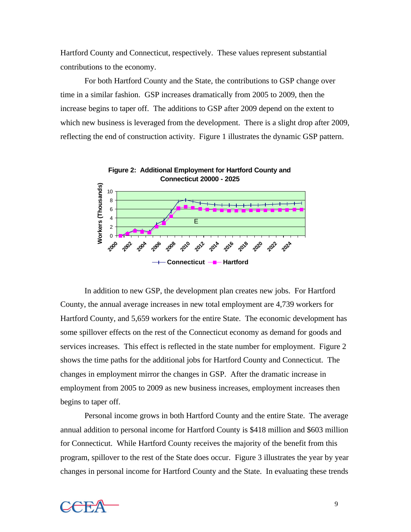Hartford County and Connecticut, respectively. These values represent substantial contributions to the economy.

For both Hartford County and the State, the contributions to GSP change over time in a similar fashion. GSP increases dramatically from 2005 to 2009, then the increase begins to taper off. The additions to GSP after 2009 depend on the extent to which new business is leveraged from the development. There is a slight drop after 2009, reflecting the end of construction activity. Figure 1 illustrates the dynamic GSP pattern.



In addition to new GSP, the development plan creates new jobs. For Hartford County, the annual average increases in new total employment are 4,739 workers for Hartford County, and 5,659 workers for the entire State. The economic development has some spillover effects on the rest of the Connecticut economy as demand for goods and services increases. This effect is reflected in the state number for employment. Figure 2 shows the time paths for the additional jobs for Hartford County and Connecticut. The changes in employment mirror the changes in GSP. After the dramatic increase in employment from 2005 to 2009 as new business increases, employment increases then begins to taper off.

Personal income grows in both Hartford County and the entire State. The average annual addition to personal income for Hartford County is \$418 million and \$603 million for Connecticut. While Hartford County receives the majority of the benefit from this program, spillover to the rest of the State does occur. Figure 3 illustrates the year by year changes in personal income for Hartford County and the State. In evaluating these trends

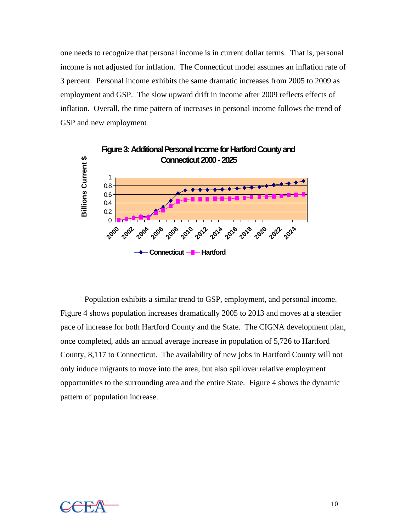one needs to recognize that personal income is in current dollar terms. That is, personal income is not adjusted for inflation. The Connecticut model assumes an inflation rate of 3 percent. Personal income exhibits the same dramatic increases from 2005 to 2009 as employment and GSP. The slow upward drift in income after 2009 reflects effects of inflation. Overall, the time pattern of increases in personal income follows the trend of GSP and new employment.



Population exhibits a similar trend to GSP, employment, and personal income. Figure 4 shows population increases dramatically 2005 to 2013 and moves at a steadier pace of increase for both Hartford County and the State. The CIGNA development plan, once completed, adds an annual average increase in population of 5,726 to Hartford County, 8,117 to Connecticut. The availability of new jobs in Hartford County will not only induce migrants to move into the area, but also spillover relative employment opportunities to the surrounding area and the entire State. Figure 4 shows the dynamic pattern of population increase.

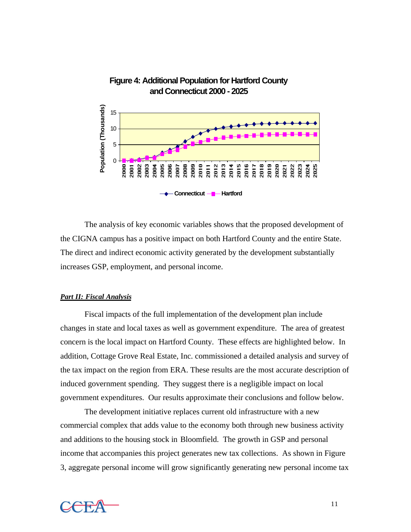

#### **Figure 4: Additional Population for Hartford County and Connecticut 2000 - 2025**

The analysis of key economic variables shows that the proposed development of the CIGNA campus has a positive impact on both Hartford County and the entire State. The direct and indirect economic activity generated by the development substantially increases GSP, employment, and personal income.

#### *Part II: Fiscal Analysis*

Fiscal impacts of the full implementation of the development plan include changes in state and local taxes as well as government expenditure. The area of greatest concern is the local impact on Hartford County. These effects are highlighted below. In addition, Cottage Grove Real Estate, Inc. commissioned a detailed analysis and survey of the tax impact on the region from ERA. These results are the most accurate description of induced government spending. They suggest there is a negligible impact on local government expenditures. Our results approximate their conclusions and follow below.

The development initiative replaces current old infrastructure with a new commercial complex that adds value to the economy both through new business activity and additions to the housing stock in Bloomfield. The growth in GSP and personal income that accompanies this project generates new tax collections. As shown in Figure 3, aggregate personal income will grow significantly generating new personal income tax

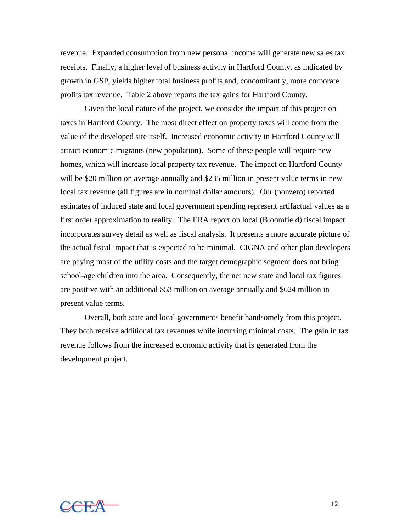revenue. Expanded consumption from new personal income will generate new sales tax receipts. Finally, a higher level of business activity in Hartford County, as indicated by growth in GSP, yields higher total business profits and, concomitantly, more corporate profits tax revenue. Table 2 above reports the tax gains for Hartford County.

Given the local nature of the project, we consider the impact of this project on taxes in Hartford County. The most direct effect on property taxes will come from the value of the developed site itself. Increased economic activity in Hartford County will attract economic migrants (new population). Some of these people will require new homes, which will increase local property tax revenue. The impact on Hartford County will be \$20 million on average annually and \$235 million in present value terms in new local tax revenue (all figures are in nominal dollar amounts). Our (nonzero) reported estimates of induced state and local government spending represent artifactual values as a first order approximation to reality. The ERA report on local (Bloomfield) fiscal impact incorporates survey detail as well as fiscal analysis. It presents a more accurate picture of the actual fiscal impact that is expected to be minimal. CIGNA and other plan developers are paying most of the utility costs and the target demographic segment does not bring school-age children into the area. Consequently, the net new state and local tax figures are positive with an additional \$53 million on average annually and \$624 million in present value terms.

Overall, both state and local governments benefit handsomely from this project. They both receive additional tax revenues while incurring minimal costs. The gain in tax revenue follows from the increased economic activity that is generated from the development project.

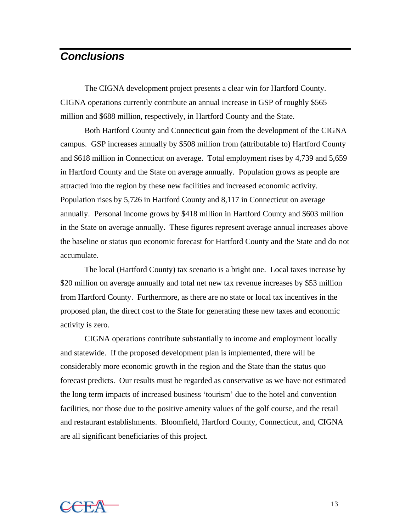### *Conclusions*

The CIGNA development project presents a clear win for Hartford County. CIGNA operations currently contribute an annual increase in GSP of roughly \$565 million and \$688 million, respectively, in Hartford County and the State.

Both Hartford County and Connecticut gain from the development of the CIGNA campus. GSP increases annually by \$508 million from (attributable to) Hartford County and \$618 million in Connecticut on average. Total employment rises by 4,739 and 5,659 in Hartford County and the State on average annually. Population grows as people are attracted into the region by these new facilities and increased economic activity. Population rises by 5,726 in Hartford County and 8,117 in Connecticut on average annually. Personal income grows by \$418 million in Hartford County and \$603 million in the State on average annually. These figures represent average annual increases above the baseline or status quo economic forecast for Hartford County and the State and do not accumulate.

The local (Hartford County) tax scenario is a bright one. Local taxes increase by \$20 million on average annually and total net new tax revenue increases by \$53 million from Hartford County. Furthermore, as there are no state or local tax incentives in the proposed plan, the direct cost to the State for generating these new taxes and economic activity is zero.

CIGNA operations contribute substantially to income and employment locally and statewide. If the proposed development plan is implemented, there will be considerably more economic growth in the region and the State than the status quo forecast predicts. Our results must be regarded as conservative as we have not estimated the long term impacts of increased business 'tourism' due to the hotel and convention facilities, nor those due to the positive amenity values of the golf course, and the retail and restaurant establishments. Bloomfield, Hartford County, Connecticut, and, CIGNA are all significant beneficiaries of this project.

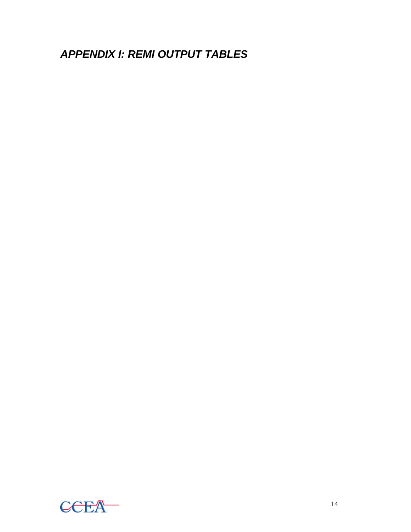*APPENDIX I: REMI OUTPUT TABLES*

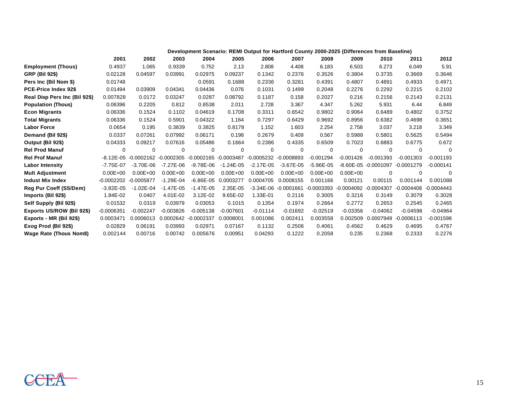|                               | Development Scenario: REMI Output for Hartford County 2000-2025 (Differences from Baseline) |                          |               |                       |               |              |                           |               |                          |                           |              |              |
|-------------------------------|---------------------------------------------------------------------------------------------|--------------------------|---------------|-----------------------|---------------|--------------|---------------------------|---------------|--------------------------|---------------------------|--------------|--------------|
|                               | 2001                                                                                        | 2002                     | 2003          | 2004                  | 2005          | 2006         | 2007                      | 2008          | 2009                     | 2010                      | 2011         | 2012         |
| <b>Employment (Thous)</b>     | 0.4937                                                                                      | 1.065                    | 0.9339        | 0.752                 | 2.13          | 2.808        | 4.408                     | 6.183         | 6.503                    | 6.273                     | 6.049        | 5.91         |
| <b>GRP (Bil 92\$)</b>         | 0.02128                                                                                     | 0.04597                  | 0.03991       | 0.02975               | 0.09237       | 0.1342       | 0.2376                    | 0.3526        | 0.3804                   | 0.3735                    | 0.3669       | 0.3646       |
| Pers Inc (Bil Nom \$)         | 0.01748                                                                                     |                          |               | 0.0591                | 0.1688        | 0.2336       | 0.3281                    | 0.4391        | 0.4807                   | 0.4891                    | 0.4933       | 0.4971       |
| PCE-Price Index 92\$          | 0.01494                                                                                     | 0.03909                  | 0.04341       | 0.04436               | 0.076         | 0.1031       | 0.1499                    | 0.2048        | 0.2276                   | 0.2292                    | 0.2215       | 0.2102       |
| Real Disp Pers Inc (Bil 92\$) | 0.007828                                                                                    | 0.0172                   | 0.03247       | 0.0287                | 0.08792       | 0.1187       | 0.158                     | 0.2027        | 0.216                    | 0.2156                    | 0.2143       | 0.2131       |
| <b>Population (Thous)</b>     | 0.06396                                                                                     | 0.2205                   | 0.812         | 0.8538                | 2.011         | 2.728        | 3.367                     | 4.347         | 5.262                    | 5.931                     | 6.44         | 6.849        |
| <b>Econ Migrants</b>          | 0.06336                                                                                     | 0.1524                   | 0.1102        | 0.04619               | 0.1708        | 0.3311       | 0.6542                    | 0.9802        | 0.9064                   | 0.6489                    | 0.4802       | 0.3752       |
| <b>Total Migrants</b>         | 0.06336                                                                                     | 0.1524                   | 0.5901        | 0.04322               | 1.164         | 0.7297       | 0.6429                    | 0.9692        | 0.8956                   | 0.6382                    | 0.4698       | 0.3651       |
| <b>Labor Force</b>            | 0.0654                                                                                      | 0.195                    | 0.3839        | 0.3825                | 0.8178        | 1.152        | 1.603                     | 2.254         | 2.758                    | 3.037                     | 3.218        | 3.349        |
| Demand (Bil 92\$)             | 0.0337                                                                                      | 0.07261                  | 0.07992       | 0.06171               | 0.198         | 0.2679       | 0.409                     | 0.567         | 0.5988                   | 0.5801                    | 0.5625       | 0.5494       |
| Output (Bil 92\$)             | 0.04333                                                                                     | 0.09217                  | 0.07616       | 0.05486               | 0.1664        | 0.2386       | 0.4335                    | 0.6509        | 0.7023                   | 0.6883                    | 0.6775       | 0.672        |
| <b>Rel Prod Manuf</b>         | 0                                                                                           | 0                        | 0             | $\Omega$              | 0             | $\mathbf 0$  | 0                         | 0             | $\Omega$                 | $\Omega$                  | 0            | $\Omega$     |
| <b>Rel Prof Manuf</b>         | $-8.12E - 05$                                                                               | $-0.0002162 - 0.0002305$ |               | -0.0002165 -0.0003487 |               | $-0.0005232$ | $-0.0008893$              | $-0.001294$   | $-0.001426$              | $-0.001393$               | $-0.001303$  | $-0.001193$  |
| <b>Labor Intensity</b>        | $-7.75E - 07$                                                                               | $-3.70E - 06$            | $-7.27E - 06$ | $-9.78E - 06$         | $-1.24E - 05$ | $-2.17E-05$  | $-3.67E-05$               | $-5.96E - 05$ |                          | $-8.60E - 05 - 0.0001097$ | $-0.0001279$ | $-0.000141$  |
| <b>Mult Adjustment</b>        | $0.00E + 00$                                                                                | $0.00E + 00$             | $0.00E + 00$  | $0.00E + 00$          | $0.00E + 00$  | $0.00E + 00$ | $0.00E + 00$              | $0.00E + 00$  | $0.00E + 00$             | $\Omega$                  | $\Omega$     | $\Omega$     |
| <b>Indust Mix Index</b>       | $-0.0002202$                                                                                | $-0.0005877$             | $-1.29E - 04$ | $-6.86E - 05$         | 0.0003277     | 0.0004705    | 0.0008155                 | 0.001166      | 0.00121                  | 0.00115                   | 0.001144     | 0.001088     |
| <b>Reg Pur Coeff (SS/Dem)</b> | $-3.82E - 05$                                                                               | $-1.02E - 04$            | $-1.47E-05$   | $-1.47E-05$           | 2.35E-05      |              | $-3.34E - 06 - 0.0001661$ | $-0.0003393$  | $-0.0004092 - 0.0004307$ |                           | $-0.0004408$ | $-0.0004443$ |
| Imports (Bil 92\$)            | 1.84E-02                                                                                    | 0.0407                   | 4.01E-02      | 3.12E-02              | 9.65E-02      | 1.33E-01     | 0.2116                    | 0.3005        | 0.3216                   | 0.3149                    | 0.3079       | 0.3028       |
| Self Supply (Bil 92\$)        | 0.01532                                                                                     | 0.0319                   | 0.03979       | 0.03053               | 0.1015        | 0.1354       | 0.1974                    | 0.2664        | 0.2772                   | 0.2653                    | 0.2545       | 0.2465       |
| Exports US/ROW (Bil 92\$)     | $-0.0006351$                                                                                | $-0.002247$              | $-0.003826$   | $-0.005138$           | $-0.007601$   | $-0.01114$   | $-0.01692$                | $-0.02519$    | $-0.03356$               | $-0.04062$                | $-0.04598$   | $-0.04964$   |
| Exports - MR (Bil 92\$)       | 0.0003471                                                                                   | 0.0006013                | 0.0002642     | $-0.0002337$          | 0.0008001     | 0.001086     | 0.002411                  | 0.003558      | 0.002509                 | 0.0007949                 | $-0.0006113$ | $-0.001598$  |
| Exog Prod (Bil 92\$)          | 0.02829                                                                                     | 0.06191                  | 0.03993       | 0.02971               | 0.07167       | 0.1132       | 0.2506                    | 0.4061        | 0.4562                   | 0.4629                    | 0.4695       | 0.4767       |
| Wage Rate (Thous Nom\$)       | 0.002144                                                                                    | 0.00716                  | 0.00742       | 0.005676              | 0.00951       | 0.04293      | 0.1222                    | 0.2058        | 0.235                    | 0.2368                    | 0.2333       | 0.2276       |

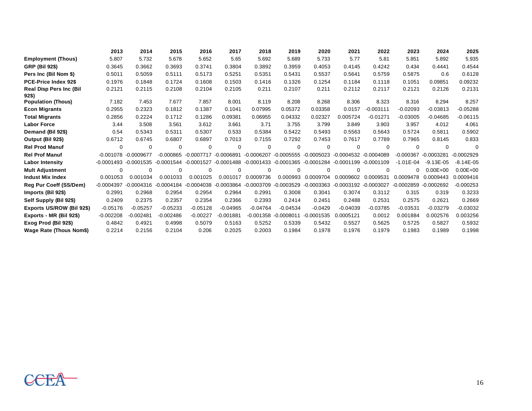|                                         | 2013         | 2014                 | 2015         | 2016         | 2017         | 2018         | 2019                             | 2020         | 2021                  | 2022        | 2023          | 2024          | 2025          |
|-----------------------------------------|--------------|----------------------|--------------|--------------|--------------|--------------|----------------------------------|--------------|-----------------------|-------------|---------------|---------------|---------------|
| <b>Employment (Thous)</b>               | 5.807        | 5.732                | 5.678        | 5.652        | 5.65         | 5.692        | 5.689                            | 5.733        | 5.77                  | 5.81        | 5.851         | 5.892         | 5.935         |
| <b>GRP (Bil 92\$)</b>                   | 0.3645       | 0.3662               | 0.3693       | 0.3741       | 0.3804       | 0.3892       | 0.3959                           | 0.4053       | 0.4145                | 0.4242      | 0.434         | 0.4441        | 0.4544        |
| Pers Inc (Bil Nom \$)                   | 0.5011       | 0.5059               | 0.5111       | 0.5173       | 0.5251       | 0.5351       | 0.5431                           | 0.5537       | 0.5641                | 0.5759      | 0.5875        | 0.6           | 0.6128        |
| PCE-Price Index 92\$                    | 0.1976       | 0.1848               | 0.1724       | 0.1608       | 0.1503       | 0.1416       | 0.1326                           | 0.1254       | 0.1184                | 0.1118      | 0.1051        | 0.09851       | 0.09232       |
| <b>Real Disp Pers Inc (Bil</b><br>92\$) | 0.2121       | 0.2115               | 0.2108       | 0.2104       | 0.2105       | 0.211        | 0.2107                           | 0.211        | 0.2112                | 0.2117      | 0.2121        | 0.2126        | 0.2131        |
| <b>Population (Thous)</b>               | 7.182        | 7.453                | 7.677        | 7.857        | 8.001        | 8.119        | 8.208                            | 8.268        | 8.306                 | 8.323       | 8.316         | 8.294         | 8.257         |
| <b>Econ Migrants</b>                    | 0.2955       | 0.2323               | 0.1812       | 0.1387       | 0.1041       | 0.07995      | 0.05372                          | 0.03358      | 0.0157                | $-0.003111$ | $-0.02093$    | $-0.03813$    | $-0.05288$    |
| <b>Total Migrants</b>                   | 0.2856       | 0.2224               | 0.1712       | 0.1286       | 0.09381      | 0.06955      | 0.04332                          | 0.02327      | 0.005724              | $-0.01271$  | $-0.03005$    | $-0.04685$    | $-0.06115$    |
| <b>Labor Force</b>                      | 3.44         | 3.508                | 3.561        | 3.612        | 3.661        | 3.71         | 3.755                            | 3.799        | 3.849                 | 3.903       | 3.957         | 4.012         | 4.061         |
| Demand (Bil 92\$)                       | 0.54         | 0.5343               | 0.5311       | 0.5307       | 0.533        | 0.5384       | 0.5422                           | 0.5493       | 0.5563                | 0.5643      | 0.5724        | 0.5811        | 0.5902        |
| Output (Bil 92\$)                       | 0.6712       | 0.6745               | 0.6807       | 0.6897       | 0.7013       | 0.7155       | 0.7292                           | 0.7453       | 0.7617                | 0.7789      | 0.7965        | 0.8145        | 0.833         |
| <b>Rel Prod Manuf</b>                   | 0            | 0                    | $\Omega$     | 0            | $\Omega$     | 0            | $\Omega$                         | $\Omega$     | $\Omega$              | $\Omega$    | 0             | $\Omega$      | $\Omega$      |
| <b>Rel Prof Manuf</b>                   |              | -0.001078 -0.0009677 | $-0.000865$  | $-0.0007717$ | $-0.0006891$ | $-0.0006207$ | $-0.0005555$                     | $-0.0005023$ | -0.0004532 -0.0004089 |             | $-0.000367$   | $-0.0003281$  | $-0.0002929$  |
| <b>Labor Intensity</b>                  | $-0.0001493$ | $-0.0001535$         | $-0.0001544$ | $-0.0001527$ | $-0.0001488$ |              | -0.0001433 -0.0001365 -0.0001284 |              | -0.0001199 -0.0001109 |             | $-1.01E - 04$ | $-9.13E - 05$ | $-8.14E - 05$ |
| <b>Mult Adjustment</b>                  | $\Omega$     | $\Omega$             | $\Omega$     | 0            | $\Omega$     | $\Omega$     | $\Omega$                         | $\Omega$     | $\Omega$              | $\Omega$    | 0             | $0.00E + 00$  | $0.00E + 00$  |
| <b>Indust Mix Index</b>                 | 0.001053     | 0.001034             | 0.001033     | 0.001025     | 0.001017     | 0.0009736    | 0.000993                         | 0.0009704    | 0.0009602             | 0.0009531   | 0.0009478     | 0.0009443     | 0.0009416     |
| Reg Pur Coeff (SS/Dem)                  | $-0.0004397$ | $-0.0004316$         | $-0.0004184$ | $-0.0004038$ | $-0.0003864$ | $-0.0003709$ | $-0.0003529$                     | $-0.0003363$ | -0.0003192 -0.0003027 |             | $-0.0002859$  | $-0.0002692$  | $-0.000253$   |
| Imports (Bil 92\$)                      | 0.2991       | 0.2968               | 0.2954       | 0.2954       | 0.2964       | 0.2991       | 0.3008                           | 0.3041       | 0.3074                | 0.3112      | 0.315         | 0.319         | 0.3233        |
| Self Supply (Bil 92\$)                  | 0.2409       | 0.2375               | 0.2357       | 0.2354       | 0.2366       | 0.2393       | 0.2414                           | 0.2451       | 0.2488                | 0.2531      | 0.2575        | 0.2621        | 0.2669        |
| Exports US/ROW (Bil 92\$)               | $-0.05176$   | $-0.05257$           | $-0.05233$   | $-0.05128$   | $-0.04965$   | $-0.04764$   | $-0.04534$                       | $-0.0429$    | $-0.04039$            | $-0.03785$  | $-0.03531$    | $-0.03279$    | $-0.03032$    |
| Exports - MR (Bil 92\$)                 | $-0.002208$  | $-0.002481$          | $-0.002486$  | $-0.00227$   | $-0.001881$  |              | $-0.001358 - 0.0008011$          | $-0.0001535$ | 0.0005121             | 0.0012      | 0.001884      | 0.002576      | 0.003256      |
| Exog Prod (Bil 92\$)                    | 0.4842       | 0.4921               | 0.4998       | 0.5079       | 0.5163       | 0.5252       | 0.5339                           | 0.5432       | 0.5527                | 0.5625      | 0.5725        | 0.5827        | 0.5932        |
| Wage Rate (Thous Nom\$)                 | 0.2214       | 0.2156               | 0.2104       | 0.206        | 0.2025       | 0.2003       | 0.1984                           | 0.1978       | 0.1976                | 0.1979      | 0.1983        | 0.1989        | 0.1998        |

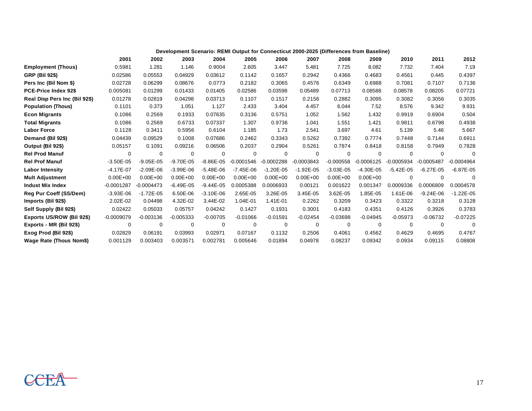|                               | Development Scenario: REMI Output for Connecticut 2000-2025 (Differences from Baseline) |               |               |               |              |               |               |               |               |              |               |               |
|-------------------------------|-----------------------------------------------------------------------------------------|---------------|---------------|---------------|--------------|---------------|---------------|---------------|---------------|--------------|---------------|---------------|
|                               | 2001                                                                                    | 2002          | 2003          | 2004          | 2005         | 2006          | 2007          | 2008          | 2009          | 2010         | 2011          | 2012          |
| <b>Employment (Thous)</b>     | 0.5981                                                                                  | 1.281         | 1.146         | 0.9004        | 2.605        | 3.447         | 5.481         | 7.725         | 8.082         | 7.732        | 7.404         | 7.19          |
| <b>GRP (Bil 92\$)</b>         | 0.02586                                                                                 | 0.05553       | 0.04929       | 0.03612       | 0.1142       | 0.1657        | 0.2942        | 0.4366        | 0.4683        | 0.4561       | 0.445         | 0.4397        |
| Pers Inc (Bil Nom \$)         | 0.02728                                                                                 | 0.06299       | 0.08676       | 0.0773        | 0.2182       | 0.3065        | 0.4576        | 0.6349        | 0.6988        | 0.7081       | 0.7107        | 0.7136        |
| PCE-Price Index 92\$          | 0.005081                                                                                | 0.01299       | 0.01433       | 0.01405       | 0.02586      | 0.03598       | 0.05489       | 0.07713       | 0.08588       | 0.08578      | 0.08205       | 0.07721       |
| Real Disp Pers Inc (Bil 92\$) | 0.01278                                                                                 | 0.02819       | 0.04298       | 0.03713       | 0.1107       | 0.1517        | 0.2156        | 0.2882        | 0.3095        | 0.3082       | 0.3056        | 0.3035        |
| <b>Population (Thous)</b>     | 0.1101                                                                                  | 0.373         | 1.051         | 1.127         | 2.433        | 3.404         | 4.457         | 6.044         | 7.52          | 8.576        | 9.342         | 9.931         |
| <b>Econ Migrants</b>          | 0.1086                                                                                  | 0.2569        | 0.1933        | 0.07635       | 0.3136       | 0.5751        | 1.052         | 1.562         | 1.432         | 0.9919       | 0.6904        | 0.504         |
| <b>Total Migrants</b>         | 0.1086                                                                                  | 0.2569        | 0.6733        | 0.07337       | 1.307        | 0.9736        | 1.041         | 1.551         | 1.421         | 0.9811       | 0.6798        | 0.4938        |
| <b>Labor Force</b>            | 0.1128                                                                                  | 0.3411        | 0.5956        | 0.6104        | 1.185        | 1.73          | 2.541         | 3.697         | 4.61          | 5.139        | 5.46          | 5.667         |
| Demand (Bil 92\$)             | 0.04439                                                                                 | 0.09529       | 0.1008        | 0.07686       | 0.2462       | 0.3343        | 0.5262        | 0.7392        | 0.7774        | 0.7448       | 0.7144        | 0.6911        |
| Output (Bil 92\$)             | 0.05157                                                                                 | 0.1091        | 0.09216       | 0.06506       | 0.2037       | 0.2904        | 0.5261        | 0.7874        | 0.8418        | 0.8158       | 0.7949        | 0.7828        |
| <b>Rel Prod Manuf</b>         | 0                                                                                       | 0             | $\Omega$      | 0             | 0            | 0             | 0             | $\Omega$      | $\Omega$      | 0            | $\Omega$      | $\Omega$      |
| <b>Rel Prof Manuf</b>         | $-3.50E-05$                                                                             | $-9.05E - 05$ | $-9.70E - 05$ | $-8.86E - 05$ | $-0.0001546$ | $-0.0002288$  | $-0.0003843$  | $-0.000558$   | $-0.0006125$  | $-0.0005934$ | $-0.0005487$  | $-0.0004964$  |
| <b>Labor Intensity</b>        | $-4.17E-07$                                                                             | $-2.09E - 06$ | $-3.99E - 06$ | $-5.48E - 06$ | $-7.45E-06$  | $-1.20E - 05$ | $-1.92E - 05$ | $-3.03E - 05$ | $-4.30E - 05$ | $-5.42E-05$  | $-6.27E-05$   | $-6.87E-05$   |
| <b>Mult Adjustment</b>        | $0.00E + 00$                                                                            | $0.00E + 00$  | $0.00E + 00$  | $0.00E + 00$  | $0.00E + 00$ | $0.00E + 00$  | $0.00E + 00$  | $0.00E + 00$  | $0.00E + 00$  | $\Omega$     | $\Omega$      |               |
| <b>Indust Mix Index</b>       | $-0.0001287$                                                                            | $-0.0004473$  | $-6.49E - 05$ | $-9.44E - 05$ | 0.0005388    | 0.0006933     | 0.00121       | 0.001622      | 0.001347      | 0.0009336    | 0.0006809     | 0.0004578     |
| <b>Reg Pur Coeff (SS/Dem)</b> | $-3.93E - 06$                                                                           | $-1.72E - 05$ | 6.50E-06      | $-3.10E - 06$ | 2.65E-05     | 3.26E-05      | 3.45E-05      | 3.62E-05      | 1.85E-05      | 1.61E-06     | $-9.24E - 06$ | $-1.22E - 05$ |
| Imports (Bil 92\$)            | 2.02E-02                                                                                | 0.04498       | 4.32E-02      | 3.44E-02      | 1.04E-01     | 1.41E-01      | 0.2262        | 0.3209        | 0.3423        | 0.3322       | 0.3218        | 0.3128        |
| Self Supply (Bil 92\$)        | 0.02422                                                                                 | 0.05033       | 0.05757       | 0.04242       | 0.1427       | 0.1931        | 0.3001        | 0.4183        | 0.4351        | 0.4126       | 0.3926        | 0.3783        |
| Exports US/ROW (Bil 92\$)     | $-0.0009079$                                                                            | $-0.003136$   | $-0.005333$   | $-0.00705$    | $-0.01066$   | $-0.01591$    | $-0.02454$    | $-0.03698$    | $-0.04945$    | $-0.05973$   | $-0.06732$    | $-0.07225$    |
| Exports - MR (Bil 92\$)       | $\Omega$                                                                                | $\mathbf 0$   | $\Omega$      | $\Omega$      | $\mathbf 0$  | $\mathbf 0$   | 0             | $\Omega$      | $\Omega$      | $\Omega$     | $\Omega$      | 0             |
| Exog Prod (Bil 92\$)          | 0.02829                                                                                 | 0.06191       | 0.03993       | 0.02971       | 0.07167      | 0.1132        | 0.2506        | 0.4061        | 0.4562        | 0.4629       | 0.4695        | 0.4767        |
| Wage Rate (Thous Nom\$)       | 0.001129                                                                                | 0.003403      | 0.003571      | 0.002781      | 0.005646     | 0.01894       | 0.04978       | 0.08237       | 0.09342       | 0.0934       | 0.09115       | 0.08808       |

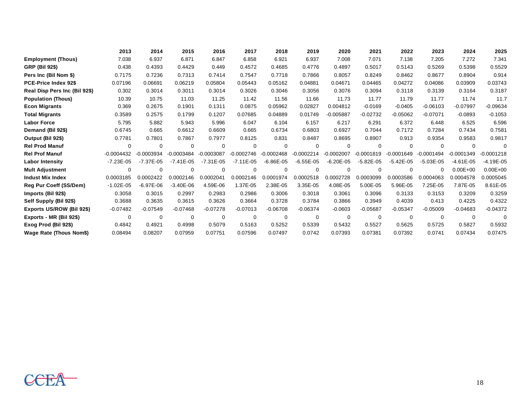|                               | 2013          | 2014          | 2015          | 2016          | 2017          | 2018          | 2019         | 2020          | 2021          | 2022         | 2023          | 2024         | 2025          |
|-------------------------------|---------------|---------------|---------------|---------------|---------------|---------------|--------------|---------------|---------------|--------------|---------------|--------------|---------------|
| <b>Employment (Thous)</b>     | 7.038         | 6.937         | 6.871         | 6.847         | 6.858         | 6.921         | 6.937        | 7.008         | 7.071         | 7.138        | 7.205         | 7.272        | 7.341         |
| <b>GRP (Bil 92\$)</b>         | 0.438         | 0.4393        | 0.4429        | 0.449         | 0.4572        | 0.4685        | 0.4776       | 0.4897        | 0.5017        | 0.5143       | 0.5269        | 0.5398       | 0.5529        |
| Pers Inc (Bil Nom \$)         | 0.7175        | 0.7236        | 0.7313        | 0.7414        | 0.7547        | 0.7718        | 0.7866       | 0.8057        | 0.8249        | 0.8462       | 0.8677        | 0.8904       | 0.914         |
| <b>PCE-Price Index 92\$</b>   | 0.07196       | 0.06691       | 0.06219       | 0.05804       | 0.05443       | 0.05162       | 0.04881      | 0.04671       | 0.04465       | 0.04272      | 0.04086       | 0.03909      | 0.03743       |
| Real Disp Pers Inc (Bil 92\$) | 0.302         | 0.3014        | 0.3011        | 0.3014        | 0.3026        | 0.3046        | 0.3056       | 0.3076        | 0.3094        | 0.3118       | 0.3139        | 0.3164       | 0.3187        |
| <b>Population (Thous)</b>     | 10.39         | 10.75         | 11.03         | 11.25         | 11.42         | 11.56         | 11.66        | 11.73         | 11.77         | 11.79        | 11.77         | 11.74        | 11.7          |
| <b>Econ Migrants</b>          | 0.369         | 0.2675        | 0.1901        | 0.1311        | 0.0875        | 0.05962       | 0.02827      | 0.004812      | $-0.0169$     | $-0.0405$    | $-0.06103$    | $-0.07997$   | $-0.09634$    |
| <b>Total Migrants</b>         | 0.3589        | 0.2575        | 0.1799        | 0.1207        | 0.07685       | 0.04889       | 0.01749      | $-0.005887$   | $-0.02732$    | $-0.05062$   | $-0.07071$    | $-0.0893$    | $-0.1053$     |
| <b>Labor Force</b>            | 5.795         | 5.882         | 5.943         | 5.996         | 6.047         | 6.104         | 6.157        | 6.217         | 6.291         | 6.372        | 6.448         | 6.525        | 6.596         |
| Demand (Bil 92\$)             | 0.6745        | 0.665         | 0.6612        | 0.6609        | 0.665         | 0.6734        | 0.6803       | 0.6927        | 0.7044        | 0.7172       | 0.7284        | 0.7434       | 0.7581        |
| Output (Bil 92\$)             | 0.7781        | 0.7801        | 0.7867        | 0.7977        | 0.8125        | 0.831         | 0.8487       | 0.8695        | 0.8907        | 0.913        | 0.9354        | 0.9583       | 0.9817        |
| <b>Rel Prod Manuf</b>         | $\mathbf 0$   | $\mathbf 0$   | $\mathbf 0$   | $\mathbf 0$   | $\Omega$      | $\mathbf 0$   | 0            | $\mathbf 0$   | $\Omega$      | $\Omega$     | 0             | $\Omega$     | $\Omega$      |
| <b>Rel Prof Manuf</b>         | $-0.0004432$  | $-0.0003934$  | $-0.0003484$  | $-0.0003087$  | $-0.0002746$  | $-0.0002468$  | $-0.0002214$ | $-0.0002007$  | $-0.0001819$  | $-0.0001649$ | $-0.0001494$  | $-0.0001349$ | $-0.0001218$  |
| <b>Labor Intensity</b>        | $-7.23E - 05$ | $-7.37E - 05$ | $-7.41E - 05$ | $-7.31E - 05$ | $-7.11E - 05$ | $-6.86E - 05$ | $-6.55E-05$  | $-6.20E - 05$ | $-5.82E - 05$ | $-5.42E-05$  | $-5.03E - 05$ | $-4.61E-05$  | $-4.19E - 05$ |
| <b>Mult Adjustment</b>        | 0             | 0             | 0             | 0             | 0             | 0             | 0            | 0             | 0             | $\Omega$     | $\Omega$      | $0.00E + 00$ | $0.00E + 00$  |
| <b>Indust Mix Index</b>       | 0.0003185     | 0.0002422     | 0.0002146     | 0.0002041     | 0.0002146     | 0.0001974     | 0.0002518    | 0.0002728     | 0.0003099     | 0.0003586    | 0.0004063     | 0.0004578    | 0.0005045     |
| <b>Reg Pur Coeff (SS/Dem)</b> | $-1.02E - 05$ | $-6.97E-06$   | $-3.40E - 06$ | 4.59E-06      | 1.37E-05      | 2.38E-05      | 3.35E-05     | 4.08E-05      | 5.00E-05      | 5.96E-05     | 7.25E-05      | 7.87E-05     | 8.61E-05      |
| Imports (Bil 92\$)            | 0.3058        | 0.3015        | 0.2997        | 0.2983        | 0.2986        | 0.3006        | 0.3018       | 0.3061        | 0.3096        | 0.3133       | 0.3153        | 0.3209       | 0.3259        |
| Self Supply (Bil 92\$)        | 0.3688        | 0.3635        | 0.3615        | 0.3626        | 0.3664        | 0.3728        | 0.3784       | 0.3866        | 0.3949        | 0.4039       | 0.413         | 0.4225       | 0.4322        |
| Exports US/ROW (Bil 92\$)     | $-0.07482$    | $-0.07549$    | $-0.07468$    | $-0.07278$    | $-0.07013$    | $-0.06708$    | $-0.06374$   | $-0.0603$     | $-0.05687$    | $-0.05347$   | $-0.05009$    | $-0.04683$   | $-0.04372$    |
| Exports - MR (Bil 92\$)       | $\Omega$      | $\mathbf 0$   | $\Omega$      | $\Omega$      | $\Omega$      | $\mathbf 0$   | $\mathbf 0$  | $\Omega$      | $\Omega$      | $\Omega$     | $\Omega$      | $\Omega$     |               |
| Exog Prod (Bil 92\$)          | 0.4842        | 0.4921        | 0.4998        | 0.5079        | 0.5163        | 0.5252        | 0.5339       | 0.5432        | 0.5527        | 0.5625       | 0.5725        | 0.5827       | 0.5932        |
| Wage Rate (Thous Nom\$)       | 0.08494       | 0.08207       | 0.07959       | 0.07751       | 0.07596       | 0.07497       | 0.0742       | 0.07393       | 0.07381       | 0.07392      | 0.0741        | 0.07434      | 0.07475       |

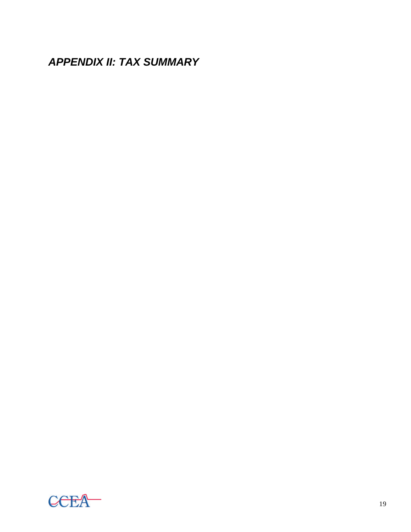*APPENDIX II: TAX SUMMARY*

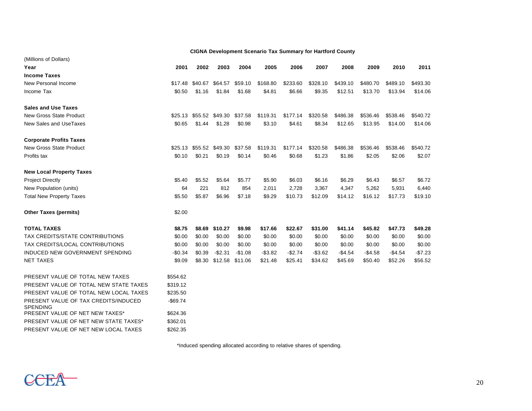|                                                         |             |         | <b>CIGNA Development Scenario Tax Summary for Hartford County</b> |          |          |          |          |          |          |          |          |
|---------------------------------------------------------|-------------|---------|-------------------------------------------------------------------|----------|----------|----------|----------|----------|----------|----------|----------|
| (Millions of Dollars)                                   |             |         |                                                                   |          |          |          |          |          |          |          |          |
| Year                                                    | 2001        | 2002    | 2003                                                              | 2004     | 2005     | 2006     | 2007     | 2008     | 2009     | 2010     | 2011     |
| <b>Income Taxes</b>                                     |             |         |                                                                   |          |          |          |          |          |          |          |          |
| New Personal Income                                     | \$17.48     | \$40.67 | \$64.57                                                           | \$59.10  | \$168.80 | \$233.60 | \$328.10 | \$439.10 | \$480.70 | \$489.10 | \$493.30 |
| Income Tax                                              | \$0.50      | \$1.16  | \$1.84                                                            | \$1.68   | \$4.81   | \$6.66   | \$9.35   | \$12.51  | \$13.70  | \$13.94  | \$14.06  |
| <b>Sales and Use Taxes</b>                              |             |         |                                                                   |          |          |          |          |          |          |          |          |
| <b>New Gross State Product</b>                          | \$25.13     | \$55.52 | \$49.30                                                           | \$37.58  | \$119.31 | \$177.14 | \$320.58 | \$486.38 | \$536.46 | \$538.46 | \$540.72 |
| New Sales and UseTaxes                                  | \$0.65      | \$1.44  | \$1.28                                                            | \$0.98   | \$3.10   | \$4.61   | \$8.34   | \$12.65  | \$13.95  | \$14.00  | \$14.06  |
| <b>Corporate Profits Taxes</b>                          |             |         |                                                                   |          |          |          |          |          |          |          |          |
| <b>New Gross State Product</b>                          | \$25.13     | \$55.52 | \$49.30                                                           | \$37.58  | \$119.31 | \$177.14 | \$320.58 | \$486.38 | \$536.46 | \$538.46 | \$540.72 |
| Profits tax                                             | \$0.10      | \$0.21  | \$0.19                                                            | \$0.14   | \$0.46   | \$0.68   | \$1.23   | \$1.86   | \$2.05   | \$2.06   | \$2.07   |
| <b>New Local Property Taxes</b>                         |             |         |                                                                   |          |          |          |          |          |          |          |          |
| <b>Project Directly</b>                                 | \$5.40      | \$5.52  | \$5.64                                                            | \$5.77   | \$5.90   | \$6.03   | \$6.16   | \$6.29   | \$6.43   | \$6.57   | \$6.72   |
| New Population (units)                                  | 64          | 221     | 812                                                               | 854      | 2,011    | 2,728    | 3,367    | 4,347    | 5,262    | 5,931    | 6,440    |
| <b>Total New Property Taxes</b>                         | \$5.50      | \$5.87  | \$6.96                                                            | \$7.18   | \$9.29   | \$10.73  | \$12.09  | \$14.12  | \$16.12  | \$17.73  | \$19.10  |
| <b>Other Taxes (permits)</b>                            | \$2.00      |         |                                                                   |          |          |          |          |          |          |          |          |
| <b>TOTAL TAXES</b>                                      | \$8.75      | \$8.69  | \$10.27                                                           | \$9.98   | \$17.66  | \$22.67  | \$31.00  | \$41.14  | \$45.82  | \$47.73  | \$49.28  |
| TAX CREDITS/STATE CONTRIBUTIONS                         | \$0.00      | \$0.00  | \$0.00                                                            | \$0.00   | \$0.00   | \$0.00   | \$0.00   | \$0.00   | \$0.00   | \$0.00   | \$0.00   |
| TAX CREDITS/LOCAL CONTRIBUTIONS                         | \$0.00      | \$0.00  | \$0.00                                                            | \$0.00   | \$0.00   | \$0.00   | \$0.00   | \$0.00   | \$0.00   | \$0.00   | \$0.00   |
| INDUCED NEW GOVERNMENT SPENDING                         | $-$0.34$    | \$0.39  | $-$2.31$                                                          | $-$1.08$ | $-$3.82$ | -\$2.74  | $-$3.62$ | $-$4.54$ | $-$4.58$ | $-$4.54$ | $-$7.23$ |
| <b>NET TAXES</b>                                        | \$9.09      | \$8.30  | \$12.58                                                           | \$11.06  | \$21.48  | \$25.41  | \$34.62  | \$45.69  | \$50.40  | \$52.26  | \$56.52  |
| PRESENT VALUE OF TOTAL NEW TAXES                        | \$554.62    |         |                                                                   |          |          |          |          |          |          |          |          |
| PRESENT VALUE OF TOTAL NEW STATE TAXES                  | \$319.12    |         |                                                                   |          |          |          |          |          |          |          |          |
| PRESENT VALUE OF TOTAL NEW LOCAL TAXES                  | \$235.50    |         |                                                                   |          |          |          |          |          |          |          |          |
| PRESENT VALUE OF TAX CREDITS/INDUCED<br><b>SPENDING</b> | $-$ \$69.74 |         |                                                                   |          |          |          |          |          |          |          |          |
| PRESENT VALUE OF NET NEW TAXES*                         | \$624.36    |         |                                                                   |          |          |          |          |          |          |          |          |
| PRESENT VALUE OF NET NEW STATE TAXES*                   | \$362.01    |         |                                                                   |          |          |          |          |          |          |          |          |
| PRESENT VALUE OF NET NEW LOCAL TAXES                    | \$262.35    |         |                                                                   |          |          |          |          |          |          |          |          |

\*Induced spending allocated according to relative shares of spending.

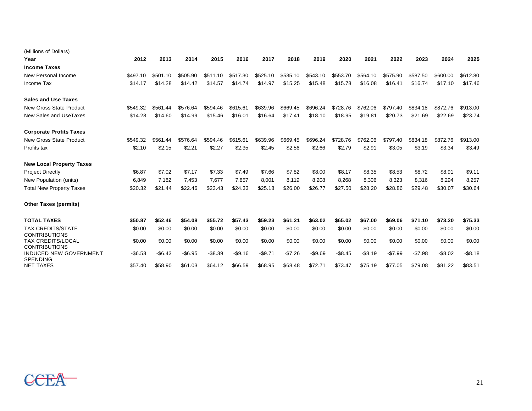| (Millions of Dollars)                            |          |          |          |          |          |          |          |          |          |          |          |          |          |          |
|--------------------------------------------------|----------|----------|----------|----------|----------|----------|----------|----------|----------|----------|----------|----------|----------|----------|
| Year                                             | 2012     | 2013     | 2014     | 2015     | 2016     | 2017     | 2018     | 2019     | 2020     | 2021     | 2022     | 2023     | 2024     | 2025     |
| <b>Income Taxes</b>                              |          |          |          |          |          |          |          |          |          |          |          |          |          |          |
| New Personal Income                              | \$497.10 | \$501.10 | \$505.90 | \$511.10 | \$517.30 | \$525.10 | \$535.10 | \$543.10 | \$553.70 | \$564.10 | \$575.90 | \$587.50 | \$600.00 | \$612.80 |
| Income Tax                                       | \$14.17  | \$14.28  | \$14.42  | \$14.57  | \$14.74  | \$14.97  | \$15.25  | \$15.48  | \$15.78  | \$16.08  | \$16.41  | \$16.74  | \$17.10  | \$17.46  |
| <b>Sales and Use Taxes</b>                       |          |          |          |          |          |          |          |          |          |          |          |          |          |          |
| <b>New Gross State Product</b>                   | \$549.32 | \$561.44 | \$576.64 | \$594.46 | \$615.61 | \$639.96 | \$669.45 | \$696.24 | \$728.76 | \$762.06 | \$797.40 | \$834.18 | \$872.76 | \$913.00 |
| New Sales and UseTaxes                           | \$14.28  | \$14.60  | \$14.99  | \$15.46  | \$16.01  | \$16.64  | \$17.41  | \$18.10  | \$18.95  | \$19.81  | \$20.73  | \$21.69  | \$22.69  | \$23.74  |
| <b>Corporate Profits Taxes</b>                   |          |          |          |          |          |          |          |          |          |          |          |          |          |          |
| <b>New Gross State Product</b>                   | \$549.32 | \$561.44 | \$576.64 | \$594.46 | \$615.61 | \$639.96 | \$669.45 | \$696.24 | \$728.76 | \$762.06 | \$797.40 | \$834.18 | \$872.76 | \$913.00 |
| Profits tax                                      | \$2.10   | \$2.15   | \$2.21   | \$2.27   | \$2.35   | \$2.45   | \$2.56   | \$2.66   | \$2.79   | \$2.91   | \$3.05   | \$3.19   | \$3.34   | \$3.49   |
| <b>New Local Property Taxes</b>                  |          |          |          |          |          |          |          |          |          |          |          |          |          |          |
| <b>Project Directly</b>                          | \$6.87   | \$7.02   | \$7.17   | \$7.33   | \$7.49   | \$7.66   | \$7.82   | \$8.00   | \$8.17   | \$8.35   | \$8.53   | \$8.72   | \$8.91   | \$9.11   |
| New Population (units)                           | 6,849    | 7,182    | 7,453    | 7.677    | 7,857    | 8,001    | 8,119    | 8,208    | 8,268    | 8,306    | 8,323    | 8,316    | 8,294    | 8,257    |
| <b>Total New Property Taxes</b>                  | \$20.32  | \$21.44  | \$22.46  | \$23.43  | \$24.33  | \$25.18  | \$26.00  | \$26.77  | \$27.50  | \$28.20  | \$28.86  | \$29.48  | \$30.07  | \$30.64  |
| <b>Other Taxes (permits)</b>                     |          |          |          |          |          |          |          |          |          |          |          |          |          |          |
| <b>TOTAL TAXES</b>                               | \$50.87  | \$52.46  | \$54.08  | \$55.72  | \$57.43  | \$59.23  | \$61.21  | \$63.02  | \$65.02  | \$67.00  | \$69.06  | \$71.10  | \$73.20  | \$75.33  |
| <b>TAX CREDITS/STATE</b><br><b>CONTRIBUTIONS</b> | \$0.00   | \$0.00   | \$0.00   | \$0.00   | \$0.00   | \$0.00   | \$0.00   | \$0.00   | \$0.00   | \$0.00   | \$0.00   | \$0.00   | \$0.00   | \$0.00   |
| <b>TAX CREDITS/LOCAL</b><br><b>CONTRIBUTIONS</b> | \$0.00   | \$0.00   | \$0.00   | \$0.00   | \$0.00   | \$0.00   | \$0.00   | \$0.00   | \$0.00   | \$0.00   | \$0.00   | \$0.00   | \$0.00   | \$0.00   |
| <b>INDUCED NEW GOVERNMENT</b><br><b>SPENDING</b> | $-$6.53$ | $-$6.43$ | $-$6.95$ | $-$8.39$ | $-$9.16$ | $-$9.71$ | $-$7.26$ | $-$9.69$ | $-$8.45$ | $-$8.19$ | $-$7.99$ | $-$7.98$ | $-$8.02$ | $-$8.18$ |
| <b>NET TAXES</b>                                 | \$57.40  | \$58.90  | \$61.03  | \$64.12  | \$66.59  | \$68.95  | \$68.48  | \$72.71  | \$73.47  | \$75.19  | \$77.05  | \$79.08  | \$81.22  | \$83.51  |

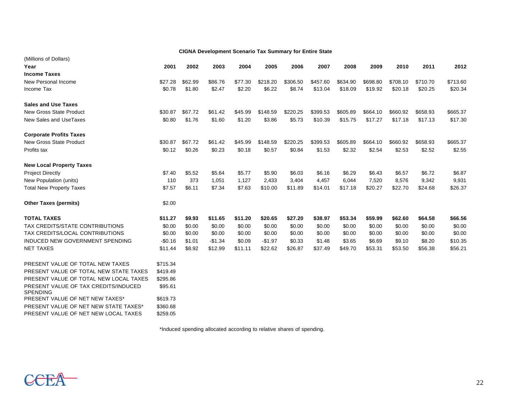| <b>CIGNA Development Scenario Tax Summary for Entire State</b> |          |         |          |         |          |          |          |          |          |          |          |          |
|----------------------------------------------------------------|----------|---------|----------|---------|----------|----------|----------|----------|----------|----------|----------|----------|
| (Millions of Dollars)                                          |          |         |          |         |          |          |          |          |          |          |          |          |
| Year                                                           | 2001     | 2002    | 2003     | 2004    | 2005     | 2006     | 2007     | 2008     | 2009     | 2010     | 2011     | 2012     |
| <b>Income Taxes</b>                                            |          |         |          |         |          |          |          |          |          |          |          |          |
| New Personal Income                                            | \$27.28  | \$62.99 | \$86.76  | \$77.30 | \$218.20 | \$306.50 | \$457.60 | \$634.90 | \$698.80 | \$708.10 | \$710.70 | \$713.60 |
| Income Tax                                                     | \$0.78   | \$1.80  | \$2.47   | \$2.20  | \$6.22   | \$8.74   | \$13.04  | \$18.09  | \$19.92  | \$20.18  | \$20.25  | \$20.34  |
| <b>Sales and Use Taxes</b>                                     |          |         |          |         |          |          |          |          |          |          |          |          |
| New Gross State Product                                        | \$30.87  | \$67.72 | \$61.42  | \$45.99 | \$148.59 | \$220.25 | \$399.53 | \$605.89 | \$664.10 | \$660.92 | \$658.93 | \$665.37 |
| New Sales and UseTaxes                                         | \$0.80   | \$1.76  | \$1.60   | \$1.20  | \$3.86   | \$5.73   | \$10.39  | \$15.75  | \$17.27  | \$17.18  | \$17.13  | \$17.30  |
| <b>Corporate Profits Taxes</b>                                 |          |         |          |         |          |          |          |          |          |          |          |          |
| <b>New Gross State Product</b>                                 | \$30.87  | \$67.72 | \$61.42  | \$45.99 | \$148.59 | \$220.25 | \$399.53 | \$605.89 | \$664.10 | \$660.92 | \$658.93 | \$665.37 |
| Profits tax                                                    | \$0.12   | \$0.26  | \$0.23   | \$0.18  | \$0.57   | \$0.84   | \$1.53   | \$2.32   | \$2.54   | \$2.53   | \$2.52   | \$2.55   |
| <b>New Local Property Taxes</b>                                |          |         |          |         |          |          |          |          |          |          |          |          |
| <b>Project Directly</b>                                        | \$7.40   | \$5.52  | \$5.64   | \$5.77  | \$5.90   | \$6.03   | \$6.16   | \$6.29   | \$6.43   | \$6.57   | \$6.72   | \$6.87   |
| New Population (units)                                         | 110      | 373     | 1,051    | 1,127   | 2,433    | 3,404    | 4,457    | 6,044    | 7,520    | 8,576    | 9,342    | 9,931    |
| <b>Total New Property Taxes</b>                                | \$7.57   | \$6.11  | \$7.34   | \$7.63  | \$10.00  | \$11.89  | \$14.01  | \$17.18  | \$20.27  | \$22.70  | \$24.68  | \$26.37  |
| <b>Other Taxes (permits)</b>                                   | \$2.00   |         |          |         |          |          |          |          |          |          |          |          |
| <b>TOTAL TAXES</b>                                             | \$11.27  | \$9.93  | \$11.65  | \$11.20 | \$20.65  | \$27.20  | \$38.97  | \$53.34  | \$59.99  | \$62.60  | \$64.58  | \$66.56  |
| TAX CREDITS/STATE CONTRIBUTIONS                                | \$0.00   | \$0.00  | \$0.00   | \$0.00  | \$0.00   | \$0.00   | \$0.00   | \$0.00   | \$0.00   | \$0.00   | \$0.00   | \$0.00   |
| TAX CREDITS/LOCAL CONTRIBUTIONS                                | \$0.00   | \$0.00  | \$0.00   | \$0.00  | \$0.00   | \$0.00   | \$0.00   | \$0.00   | \$0.00   | \$0.00   | \$0.00   | \$0.00   |
| INDUCED NEW GOVERNMENT SPENDING                                | $-$0.16$ | \$1.01  | $-$1.34$ | \$0.09  | $-$1.97$ | \$0.33   | \$1.48   | \$3.65   | \$6.69   | \$9.10   | \$8.20   | \$10.35  |
| <b>NET TAXES</b>                                               | \$11.44  | \$8.92  | \$12.99  | \$11.11 | \$22.62  | \$26.87  | \$37.49  | \$49.70  | \$53.31  | \$53.50  | \$56.38  | \$56.21  |
| PRESENT VALUE OF TOTAL NEW TAXES                               | \$715.34 |         |          |         |          |          |          |          |          |          |          |          |
| PRESENT VALUE OF TOTAL NEW STATE TAXES                         | \$419.49 |         |          |         |          |          |          |          |          |          |          |          |
| PRESENT VALUE OF TOTAL NEW LOCAL TAXES                         | \$295.86 |         |          |         |          |          |          |          |          |          |          |          |
| PRESENT VALUE OF TAX CREDITS/INDUCED<br><b>SPENDING</b>        | \$95.61  |         |          |         |          |          |          |          |          |          |          |          |
| PRESENT VALUE OF NET NEW TAXES*                                | \$619.73 |         |          |         |          |          |          |          |          |          |          |          |
| PRESENT VALUE OF NET NEW STATE TAXES*                          | \$360.68 |         |          |         |          |          |          |          |          |          |          |          |
| PRESENT VALUE OF NET NEW LOCAL TAXES                           | \$259.05 |         |          |         |          |          |          |          |          |          |          |          |

\*Induced spending allocated according to relative shares of spending.